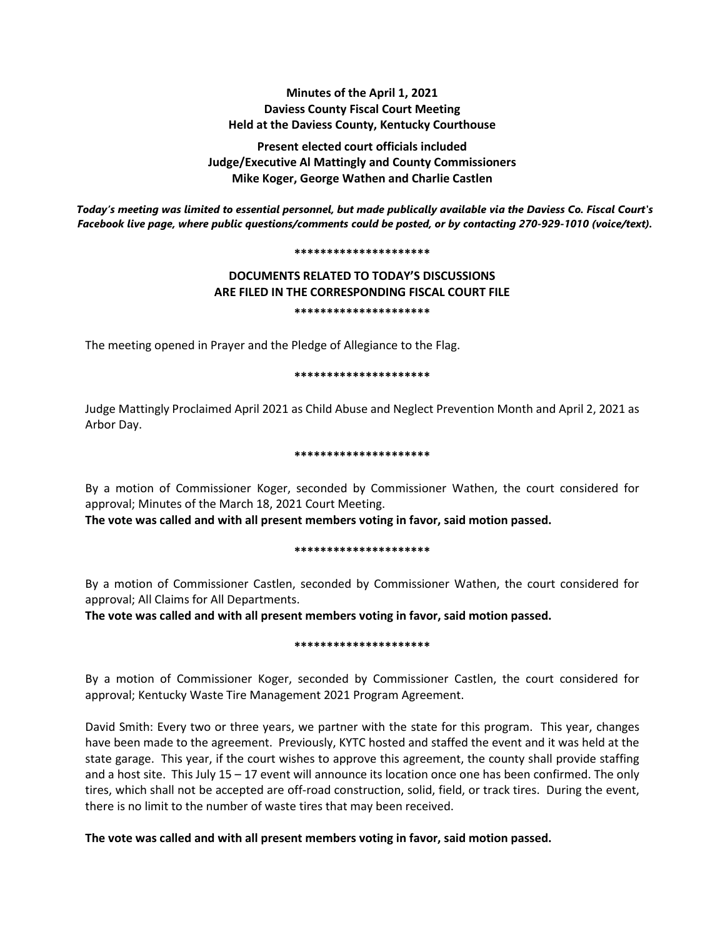# **Minutes of the April 1, 2021 Daviess County Fiscal Court Meeting Held at the Daviess County, Kentucky Courthouse**

**Present elected court officials included Judge/Executive Al Mattingly and County Commissioners Mike Koger, George Wathen and Charlie Castlen**

*Today's meeting was limited to essential personnel, but made publically available via the Daviess Co. Fiscal Court's Facebook live page, where public questions/comments could be posted, or by contacting 270-929-1010 (voice/text).*

#### **\*\*\*\*\*\*\*\*\*\*\*\*\*\*\*\*\*\*\*\*\***

# **DOCUMENTS RELATED TO TODAY'S DISCUSSIONS ARE FILED IN THE CORRESPONDING FISCAL COURT FILE \*\*\*\*\*\*\*\*\*\*\*\*\*\*\*\*\*\*\*\*\***

The meeting opened in Prayer and the Pledge of Allegiance to the Flag.

### **\*\*\*\*\*\*\*\*\*\*\*\*\*\*\*\*\*\*\*\*\***

Judge Mattingly Proclaimed April 2021 as Child Abuse and Neglect Prevention Month and April 2, 2021 as Arbor Day.

## **\*\*\*\*\*\*\*\*\*\*\*\*\*\*\*\*\*\*\*\*\***

By a motion of Commissioner Koger, seconded by Commissioner Wathen, the court considered for approval; Minutes of the March 18, 2021 Court Meeting.

**The vote was called and with all present members voting in favor, said motion passed.** 

### **\*\*\*\*\*\*\*\*\*\*\*\*\*\*\*\*\*\*\*\*\***

By a motion of Commissioner Castlen, seconded by Commissioner Wathen, the court considered for approval; All Claims for All Departments.

**The vote was called and with all present members voting in favor, said motion passed.** 

### **\*\*\*\*\*\*\*\*\*\*\*\*\*\*\*\*\*\*\*\*\***

By a motion of Commissioner Koger, seconded by Commissioner Castlen, the court considered for approval; Kentucky Waste Tire Management 2021 Program Agreement.

David Smith: Every two or three years, we partner with the state for this program. This year, changes have been made to the agreement. Previously, KYTC hosted and staffed the event and it was held at the state garage. This year, if the court wishes to approve this agreement, the county shall provide staffing and a host site. This July  $15 - 17$  event will announce its location once one has been confirmed. The only tires, which shall not be accepted are off-road construction, solid, field, or track tires. During the event, there is no limit to the number of waste tires that may been received.

# **The vote was called and with all present members voting in favor, said motion passed.**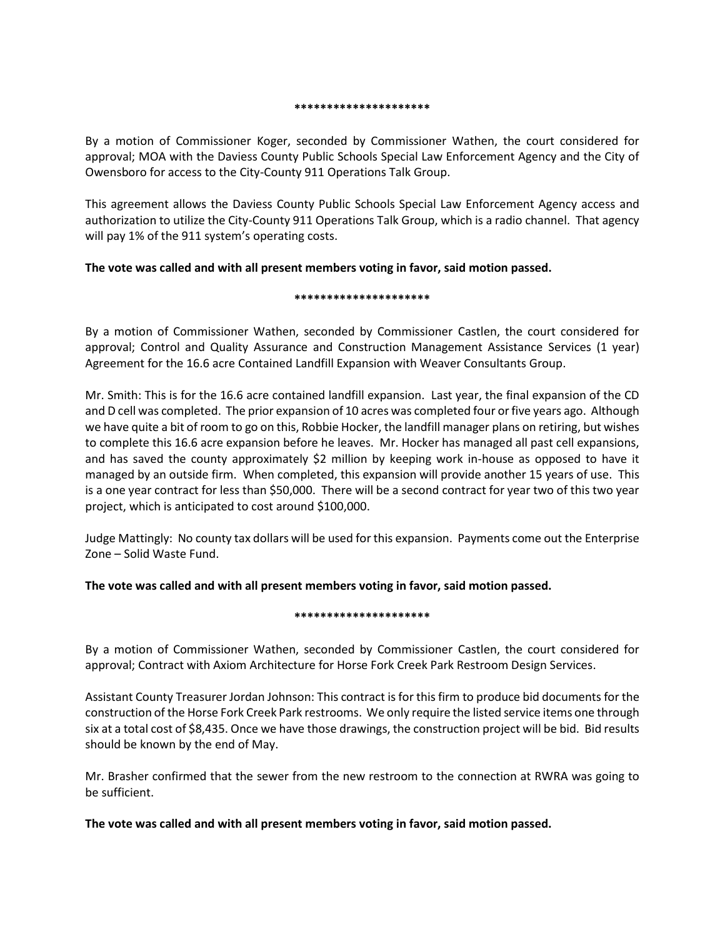### **\*\*\*\*\*\*\*\*\*\*\*\*\*\*\*\*\*\*\*\*\***

By a motion of Commissioner Koger, seconded by Commissioner Wathen, the court considered for approval; MOA with the Daviess County Public Schools Special Law Enforcement Agency and the City of Owensboro for access to the City-County 911 Operations Talk Group.

This agreement allows the Daviess County Public Schools Special Law Enforcement Agency access and authorization to utilize the City-County 911 Operations Talk Group, which is a radio channel. That agency will pay 1% of the 911 system's operating costs.

# **The vote was called and with all present members voting in favor, said motion passed.**

## **\*\*\*\*\*\*\*\*\*\*\*\*\*\*\*\*\*\*\*\*\***

By a motion of Commissioner Wathen, seconded by Commissioner Castlen, the court considered for approval; Control and Quality Assurance and Construction Management Assistance Services (1 year) Agreement for the 16.6 acre Contained Landfill Expansion with Weaver Consultants Group.

Mr. Smith: This is for the 16.6 acre contained landfill expansion. Last year, the final expansion of the CD and D cell was completed. The prior expansion of 10 acres was completed four or five years ago. Although we have quite a bit of room to go on this, Robbie Hocker, the landfill manager plans on retiring, but wishes to complete this 16.6 acre expansion before he leaves. Mr. Hocker has managed all past cell expansions, and has saved the county approximately \$2 million by keeping work in-house as opposed to have it managed by an outside firm. When completed, this expansion will provide another 15 years of use. This is a one year contract for less than \$50,000. There will be a second contract for year two of this two year project, which is anticipated to cost around \$100,000.

Judge Mattingly: No county tax dollars will be used for this expansion. Payments come out the Enterprise Zone – Solid Waste Fund.

**The vote was called and with all present members voting in favor, said motion passed.**

# **\*\*\*\*\*\*\*\*\*\*\*\*\*\*\*\*\*\*\*\*\***

By a motion of Commissioner Wathen, seconded by Commissioner Castlen, the court considered for approval; Contract with Axiom Architecture for Horse Fork Creek Park Restroom Design Services.

Assistant County Treasurer Jordan Johnson: This contract is for this firm to produce bid documents for the construction of the Horse Fork Creek Park restrooms. We only require the listed service items one through six at a total cost of \$8,435. Once we have those drawings, the construction project will be bid. Bid results should be known by the end of May.

Mr. Brasher confirmed that the sewer from the new restroom to the connection at RWRA was going to be sufficient.

**The vote was called and with all present members voting in favor, said motion passed.**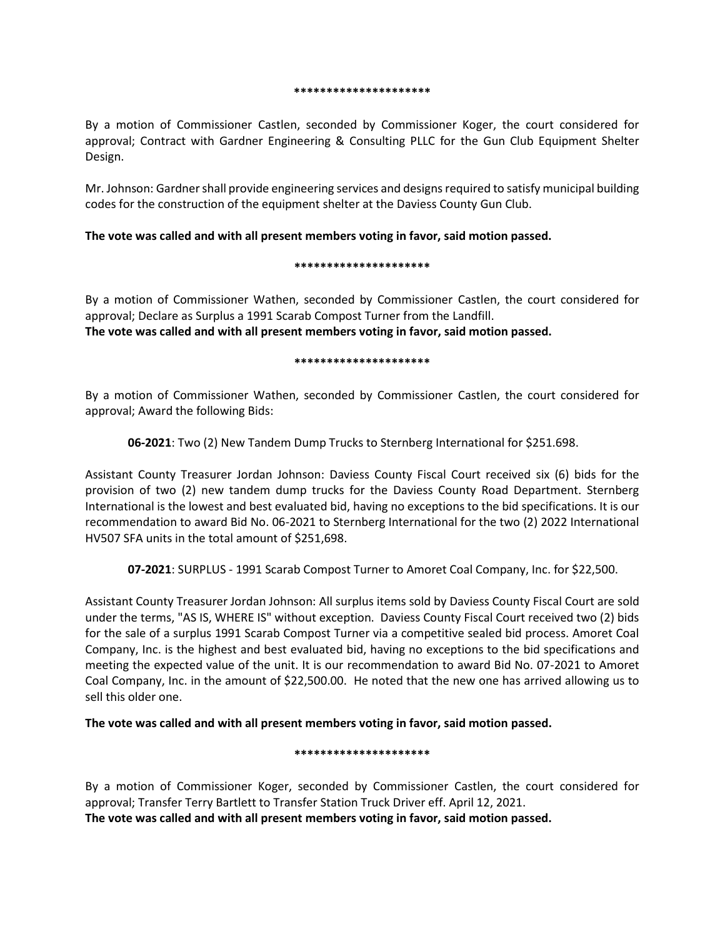#### **\*\*\*\*\*\*\*\*\*\*\*\*\*\*\*\*\*\*\*\*\***

By a motion of Commissioner Castlen, seconded by Commissioner Koger, the court considered for approval; Contract with Gardner Engineering & Consulting PLLC for the Gun Club Equipment Shelter Design.

Mr. Johnson: Gardner shall provide engineering services and designs required to satisfy municipal building codes for the construction of the equipment shelter at the Daviess County Gun Club.

# **The vote was called and with all present members voting in favor, said motion passed.**

## **\*\*\*\*\*\*\*\*\*\*\*\*\*\*\*\*\*\*\*\*\***

By a motion of Commissioner Wathen, seconded by Commissioner Castlen, the court considered for approval; Declare as Surplus a 1991 Scarab Compost Turner from the Landfill. **The vote was called and with all present members voting in favor, said motion passed.**

## **\*\*\*\*\*\*\*\*\*\*\*\*\*\*\*\*\*\*\*\*\***

By a motion of Commissioner Wathen, seconded by Commissioner Castlen, the court considered for approval; Award the following Bids:

**06-2021**: Two (2) New Tandem Dump Trucks to Sternberg International for \$251.698.

Assistant County Treasurer Jordan Johnson: Daviess County Fiscal Court received six (6) bids for the provision of two (2) new tandem dump trucks for the Daviess County Road Department. Sternberg International is the lowest and best evaluated bid, having no exceptions to the bid specifications. It is our recommendation to award Bid No. 06-2021 to Sternberg International for the two (2) 2022 International HV507 SFA units in the total amount of \$251,698.

**07-2021**: SURPLUS - 1991 Scarab Compost Turner to Amoret Coal Company, Inc. for \$22,500.

Assistant County Treasurer Jordan Johnson: All surplus items sold by Daviess County Fiscal Court are sold under the terms, "AS IS, WHERE IS" without exception. Daviess County Fiscal Court received two (2) bids for the sale of a surplus 1991 Scarab Compost Turner via a competitive sealed bid process. Amoret Coal Company, Inc. is the highest and best evaluated bid, having no exceptions to the bid specifications and meeting the expected value of the unit. It is our recommendation to award Bid No. 07-2021 to Amoret Coal Company, Inc. in the amount of \$22,500.00. He noted that the new one has arrived allowing us to sell this older one.

**The vote was called and with all present members voting in favor, said motion passed.**

# **\*\*\*\*\*\*\*\*\*\*\*\*\*\*\*\*\*\*\*\*\***

By a motion of Commissioner Koger, seconded by Commissioner Castlen, the court considered for approval; Transfer Terry Bartlett to Transfer Station Truck Driver eff. April 12, 2021. **The vote was called and with all present members voting in favor, said motion passed.**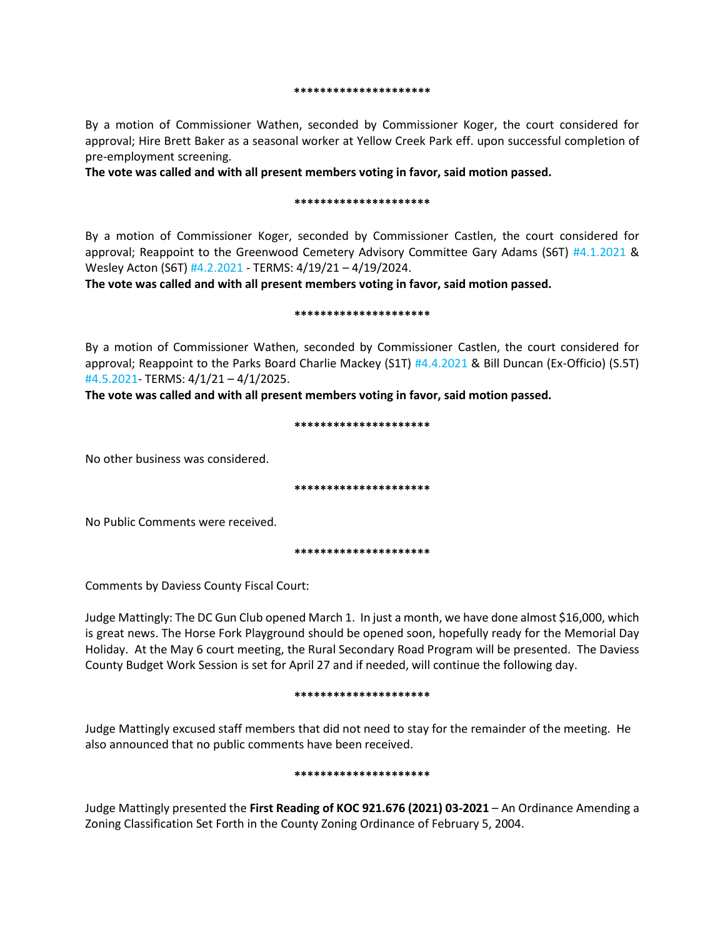#### **\*\*\*\*\*\*\*\*\*\*\*\*\*\*\*\*\*\*\*\*\***

By a motion of Commissioner Wathen, seconded by Commissioner Koger, the court considered for approval; Hire Brett Baker as a seasonal worker at Yellow Creek Park eff. upon successful completion of pre-employment screening.

**The vote was called and with all present members voting in favor, said motion passed.**

## **\*\*\*\*\*\*\*\*\*\*\*\*\*\*\*\*\*\*\*\*\***

By a motion of Commissioner Koger, seconded by Commissioner Castlen, the court considered for approval; Reappoint to the Greenwood Cemetery Advisory Committee Gary Adams (S6T) #4.1.2021 & Wesley Acton (S6T) #4.2.2021 - TERMS: 4/19/21 – 4/19/2024.

**The vote was called and with all present members voting in favor, said motion passed.**

### **\*\*\*\*\*\*\*\*\*\*\*\*\*\*\*\*\*\*\*\*\***

By a motion of Commissioner Wathen, seconded by Commissioner Castlen, the court considered for approval; Reappoint to the Parks Board Charlie Mackey (S1T) #4.4.2021 & Bill Duncan (Ex-Officio) (S.5T) #4.5.2021- TERMS: 4/1/21 – 4/1/2025.

**The vote was called and with all present members voting in favor, said motion passed.**

### **\*\*\*\*\*\*\*\*\*\*\*\*\*\*\*\*\*\*\*\*\***

No other business was considered.

**\*\*\*\*\*\*\*\*\*\*\*\*\*\*\*\*\*\*\*\*\***

No Public Comments were received.

**\*\*\*\*\*\*\*\*\*\*\*\*\*\*\*\*\*\*\*\*\***

Comments by Daviess County Fiscal Court:

Judge Mattingly: The DC Gun Club opened March 1. In just a month, we have done almost \$16,000, which is great news. The Horse Fork Playground should be opened soon, hopefully ready for the Memorial Day Holiday. At the May 6 court meeting, the Rural Secondary Road Program will be presented. The Daviess County Budget Work Session is set for April 27 and if needed, will continue the following day.

### **\*\*\*\*\*\*\*\*\*\*\*\*\*\*\*\*\*\*\*\*\***

Judge Mattingly excused staff members that did not need to stay for the remainder of the meeting. He also announced that no public comments have been received.

### **\*\*\*\*\*\*\*\*\*\*\*\*\*\*\*\*\*\*\*\*\***

Judge Mattingly presented the **First Reading of KOC 921.676 (2021) 03-2021** – An Ordinance Amending a Zoning Classification Set Forth in the County Zoning Ordinance of February 5, 2004.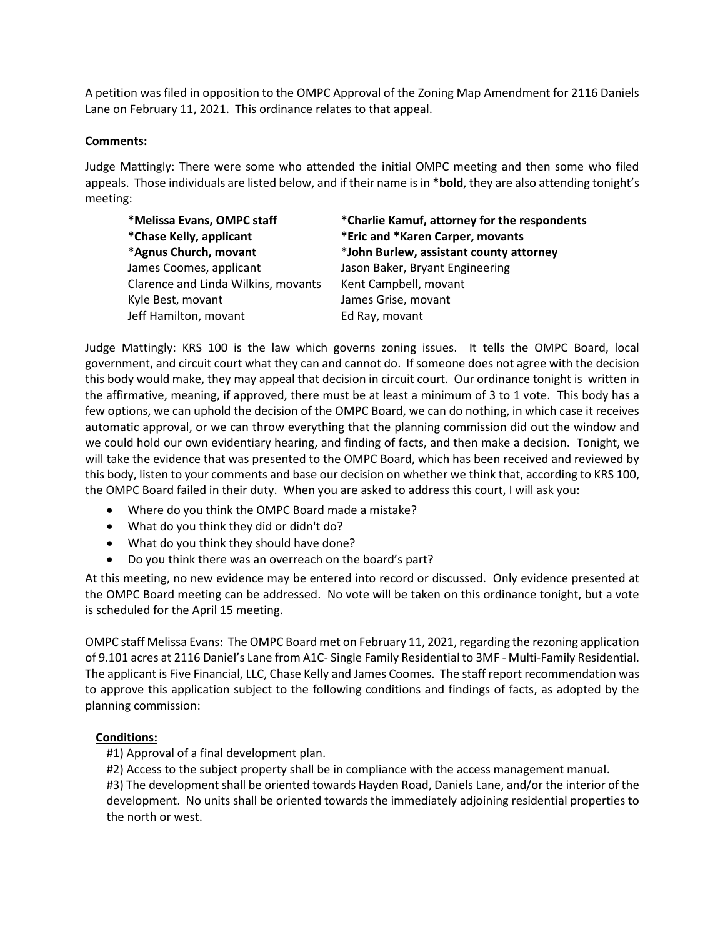A petition was filed in opposition to the OMPC Approval of the Zoning Map Amendment for 2116 Daniels Lane on February 11, 2021. This ordinance relates to that appeal.

# **Comments:**

Judge Mattingly: There were some who attended the initial OMPC meeting and then some who filed appeals. Those individuals are listed below, and if their name is in **\*bold**, they are also attending tonight's meeting:

**\*Chase Kelly, applicant \*Eric and \*Karen Carper, movants** James Coomes, applicant Jason Baker, Bryant Engineering Clarence and Linda Wilkins, movants Kent Campbell, movant Kyle Best, movant James Grise, movant Jeff Hamilton, movant Ed Ray, movant

**\*Melissa Evans, OMPC staff \*Charlie Kamuf, attorney for the respondents \*Agnus Church, movant \*John Burlew, assistant county attorney**

Judge Mattingly: KRS 100 is the law which governs zoning issues. It tells the OMPC Board, local government, and circuit court what they can and cannot do. If someone does not agree with the decision this body would make, they may appeal that decision in circuit court. Our ordinance tonight is written in the affirmative, meaning, if approved, there must be at least a minimum of 3 to 1 vote. This body has a few options, we can uphold the decision of the OMPC Board, we can do nothing, in which case it receives automatic approval, or we can throw everything that the planning commission did out the window and we could hold our own evidentiary hearing, and finding of facts, and then make a decision. Tonight, we will take the evidence that was presented to the OMPC Board, which has been received and reviewed by this body, listen to your comments and base our decision on whether we think that, according to KRS 100, the OMPC Board failed in their duty. When you are asked to address this court, I will ask you:

- Where do you think the OMPC Board made a mistake?
- What do you think they did or didn't do?
- What do you think they should have done?
- Do you think there was an overreach on the board's part?

At this meeting, no new evidence may be entered into record or discussed. Only evidence presented at the OMPC Board meeting can be addressed. No vote will be taken on this ordinance tonight, but a vote is scheduled for the April 15 meeting.

OMPC staff Melissa Evans: The OMPC Board met on February 11, 2021, regarding the rezoning application of 9.101 acres at 2116 Daniel's Lane from A1C- Single Family Residential to 3MF - Multi-Family Residential. The applicant is Five Financial, LLC, Chase Kelly and James Coomes. The staff report recommendation was to approve this application subject to the following conditions and findings of facts, as adopted by the planning commission:

# **Conditions:**

#1) Approval of a final development plan.

#2) Access to the subject property shall be in compliance with the access management manual.

#3) The development shall be oriented towards Hayden Road, Daniels Lane, and/or the interior of the development. No units shall be oriented towards the immediately adjoining residential properties to the north or west.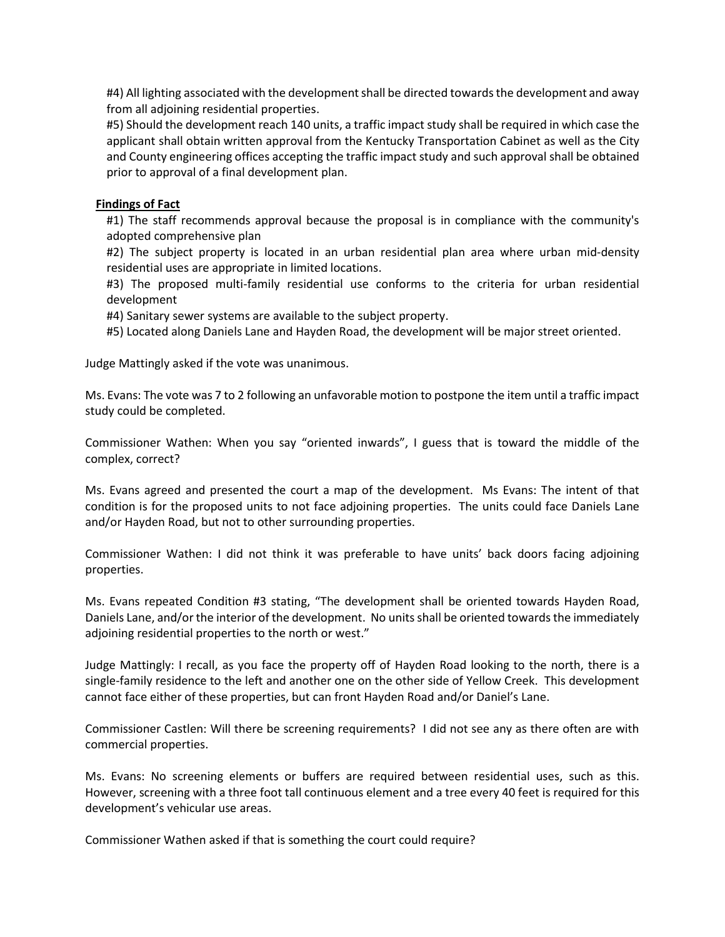#4) All lighting associated with the development shall be directed towards the development and away from all adjoining residential properties.

#5) Should the development reach 140 units, a traffic impact study shall be required in which case the applicant shall obtain written approval from the Kentucky Transportation Cabinet as well as the City and County engineering offices accepting the traffic impact study and such approval shall be obtained prior to approval of a final development plan.

# **Findings of Fact**

#1) The staff recommends approval because the proposal is in compliance with the community's adopted comprehensive plan

#2) The subject property is located in an urban residential plan area where urban mid-density residential uses are appropriate in limited locations.

#3) The proposed multi-family residential use conforms to the criteria for urban residential development

#4) Sanitary sewer systems are available to the subject property.

#5) Located along Daniels Lane and Hayden Road, the development will be major street oriented.

Judge Mattingly asked if the vote was unanimous.

Ms. Evans: The vote was 7 to 2 following an unfavorable motion to postpone the item until a traffic impact study could be completed.

Commissioner Wathen: When you say "oriented inwards", I guess that is toward the middle of the complex, correct?

Ms. Evans agreed and presented the court a map of the development. Ms Evans: The intent of that condition is for the proposed units to not face adjoining properties. The units could face Daniels Lane and/or Hayden Road, but not to other surrounding properties.

Commissioner Wathen: I did not think it was preferable to have units' back doors facing adjoining properties.

Ms. Evans repeated Condition #3 stating, "The development shall be oriented towards Hayden Road, Daniels Lane, and/or the interior of the development. No units shall be oriented towards the immediately adjoining residential properties to the north or west."

Judge Mattingly: I recall, as you face the property off of Hayden Road looking to the north, there is a single-family residence to the left and another one on the other side of Yellow Creek. This development cannot face either of these properties, but can front Hayden Road and/or Daniel's Lane.

Commissioner Castlen: Will there be screening requirements? I did not see any as there often are with commercial properties.

Ms. Evans: No screening elements or buffers are required between residential uses, such as this. However, screening with a three foot tall continuous element and a tree every 40 feet is required for this development's vehicular use areas.

Commissioner Wathen asked if that is something the court could require?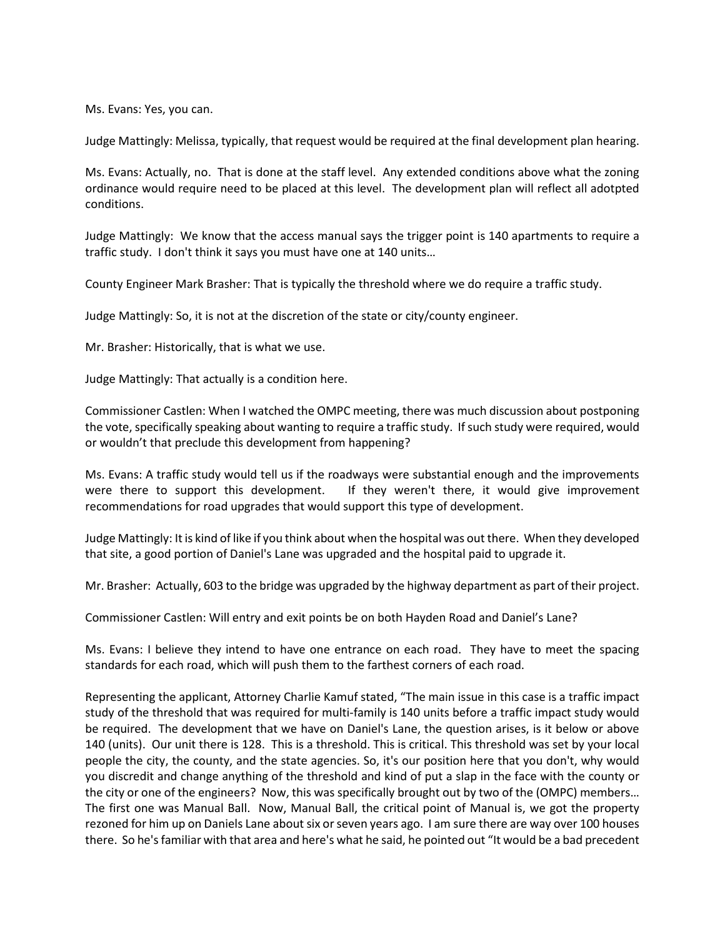Ms. Evans: Yes, you can.

Judge Mattingly: Melissa, typically, that request would be required at the final development plan hearing.

Ms. Evans: Actually, no. That is done at the staff level. Any extended conditions above what the zoning ordinance would require need to be placed at this level. The development plan will reflect all adotpted conditions.

Judge Mattingly: We know that the access manual says the trigger point is 140 apartments to require a traffic study. I don't think it says you must have one at 140 units…

County Engineer Mark Brasher: That is typically the threshold where we do require a traffic study.

Judge Mattingly: So, it is not at the discretion of the state or city/county engineer.

Mr. Brasher: Historically, that is what we use.

Judge Mattingly: That actually is a condition here.

Commissioner Castlen: When I watched the OMPC meeting, there was much discussion about postponing the vote, specifically speaking about wanting to require a traffic study. If such study were required, would or wouldn't that preclude this development from happening?

Ms. Evans: A traffic study would tell us if the roadways were substantial enough and the improvements were there to support this development. If they weren't there, it would give improvement recommendations for road upgrades that would support this type of development.

Judge Mattingly: It is kind of like if you think about when the hospital was out there. When they developed that site, a good portion of Daniel's Lane was upgraded and the hospital paid to upgrade it.

Mr. Brasher: Actually, 603 to the bridge was upgraded by the highway department as part of their project.

Commissioner Castlen: Will entry and exit points be on both Hayden Road and Daniel's Lane?

Ms. Evans: I believe they intend to have one entrance on each road. They have to meet the spacing standards for each road, which will push them to the farthest corners of each road.

Representing the applicant, Attorney Charlie Kamuf stated, "The main issue in this case is a traffic impact study of the threshold that was required for multi-family is 140 units before a traffic impact study would be required. The development that we have on Daniel's Lane, the question arises, is it below or above 140 (units). Our unit there is 128. This is a threshold. This is critical. This threshold was set by your local people the city, the county, and the state agencies. So, it's our position here that you don't, why would you discredit and change anything of the threshold and kind of put a slap in the face with the county or the city or one of the engineers? Now, this was specifically brought out by two of the (OMPC) members… The first one was Manual Ball. Now, Manual Ball, the critical point of Manual is, we got the property rezoned for him up on Daniels Lane about six or seven years ago. I am sure there are way over 100 houses there. So he'sfamiliar with that area and here's what he said, he pointed out "It would be a bad precedent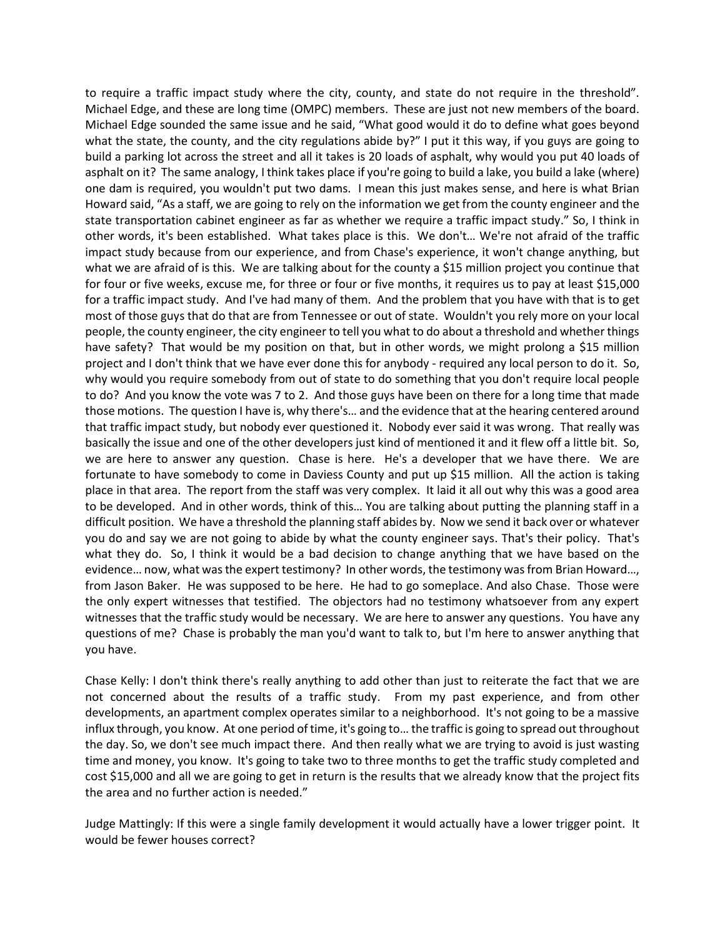to require a traffic impact study where the city, county, and state do not require in the threshold". Michael Edge, and these are long time (OMPC) members. These are just not new members of the board. Michael Edge sounded the same issue and he said, "What good would it do to define what goes beyond what the state, the county, and the city regulations abide by?" I put it this way, if you guys are going to build a parking lot across the street and all it takes is 20 loads of asphalt, why would you put 40 loads of asphalt on it? The same analogy, I think takes place if you're going to build a lake, you build a lake (where) one dam is required, you wouldn't put two dams. I mean this just makes sense, and here is what Brian Howard said, "As a staff, we are going to rely on the information we get from the county engineer and the state transportation cabinet engineer as far as whether we require a traffic impact study." So, I think in other words, it's been established. What takes place is this. We don't… We're not afraid of the traffic impact study because from our experience, and from Chase's experience, it won't change anything, but what we are afraid of is this. We are talking about for the county a \$15 million project you continue that for four or five weeks, excuse me, for three or four or five months, it requires us to pay at least \$15,000 for a traffic impact study. And I've had many of them. And the problem that you have with that is to get most of those guys that do that are from Tennessee or out of state. Wouldn't you rely more on your local people, the county engineer, the city engineer to tell you what to do about a threshold and whether things have safety? That would be my position on that, but in other words, we might prolong a \$15 million project and I don't think that we have ever done this for anybody - required any local person to do it. So, why would you require somebody from out of state to do something that you don't require local people to do? And you know the vote was 7 to 2. And those guys have been on there for a long time that made those motions. The question I have is, why there's… and the evidence that at the hearing centered around that traffic impact study, but nobody ever questioned it. Nobody ever said it was wrong. That really was basically the issue and one of the other developers just kind of mentioned it and it flew off a little bit. So, we are here to answer any question. Chase is here. He's a developer that we have there. We are fortunate to have somebody to come in Daviess County and put up \$15 million. All the action is taking place in that area. The report from the staff was very complex. It laid it all out why this was a good area to be developed. And in other words, think of this… You are talking about putting the planning staff in a difficult position. We have a threshold the planning staff abides by. Now we send it back over or whatever you do and say we are not going to abide by what the county engineer says. That's their policy. That's what they do. So, I think it would be a bad decision to change anything that we have based on the evidence… now, what was the expert testimony? In other words, the testimony was from Brian Howard…, from Jason Baker. He was supposed to be here. He had to go someplace. And also Chase. Those were the only expert witnesses that testified. The objectors had no testimony whatsoever from any expert witnesses that the traffic study would be necessary. We are here to answer any questions. You have any questions of me? Chase is probably the man you'd want to talk to, but I'm here to answer anything that you have.

Chase Kelly: I don't think there's really anything to add other than just to reiterate the fact that we are not concerned about the results of a traffic study. From my past experience, and from other developments, an apartment complex operates similar to a neighborhood. It's not going to be a massive influx through, you know. At one period of time, it's going to… the traffic is going to spread out throughout the day. So, we don't see much impact there. And then really what we are trying to avoid is just wasting time and money, you know. It's going to take two to three months to get the traffic study completed and cost \$15,000 and all we are going to get in return is the results that we already know that the project fits the area and no further action is needed."

Judge Mattingly: If this were a single family development it would actually have a lower trigger point. It would be fewer houses correct?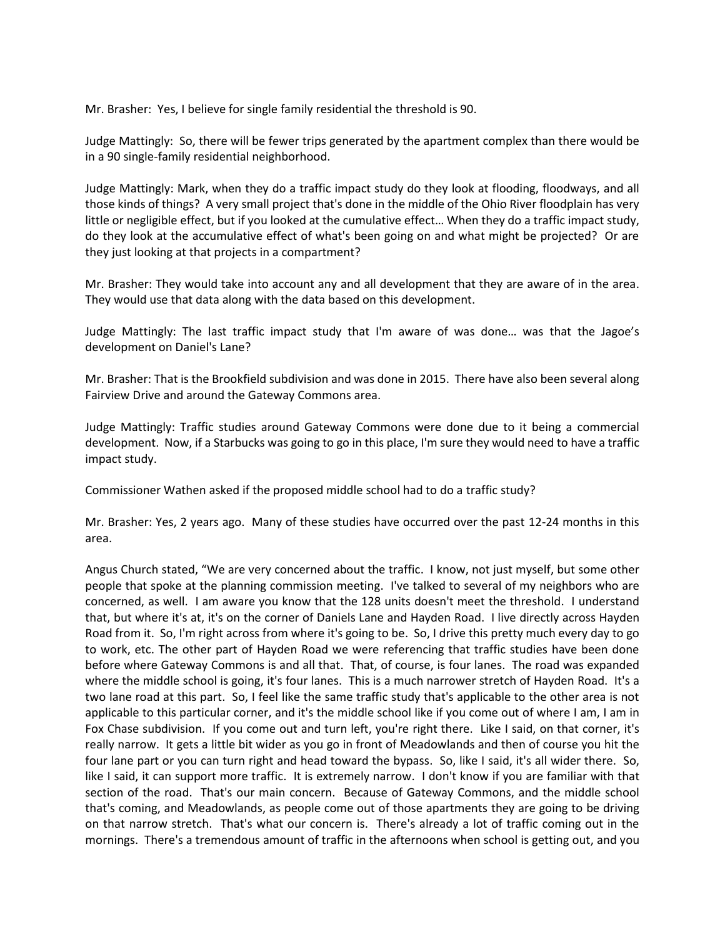Mr. Brasher: Yes, I believe for single family residential the threshold is 90.

Judge Mattingly: So, there will be fewer trips generated by the apartment complex than there would be in a 90 single-family residential neighborhood.

Judge Mattingly: Mark, when they do a traffic impact study do they look at flooding, floodways, and all those kinds of things? A very small project that's done in the middle of the Ohio River floodplain has very little or negligible effect, but if you looked at the cumulative effect… When they do a traffic impact study, do they look at the accumulative effect of what's been going on and what might be projected? Or are they just looking at that projects in a compartment?

Mr. Brasher: They would take into account any and all development that they are aware of in the area. They would use that data along with the data based on this development.

Judge Mattingly: The last traffic impact study that I'm aware of was done… was that the Jagoe's development on Daniel's Lane?

Mr. Brasher: That is the Brookfield subdivision and was done in 2015. There have also been several along Fairview Drive and around the Gateway Commons area.

Judge Mattingly: Traffic studies around Gateway Commons were done due to it being a commercial development. Now, if a Starbucks was going to go in this place, I'm sure they would need to have a traffic impact study.

Commissioner Wathen asked if the proposed middle school had to do a traffic study?

Mr. Brasher: Yes, 2 years ago. Many of these studies have occurred over the past 12-24 months in this area.

Angus Church stated, "We are very concerned about the traffic. I know, not just myself, but some other people that spoke at the planning commission meeting. I've talked to several of my neighbors who are concerned, as well. I am aware you know that the 128 units doesn't meet the threshold. I understand that, but where it's at, it's on the corner of Daniels Lane and Hayden Road. I live directly across Hayden Road from it. So, I'm right across from where it's going to be. So, I drive this pretty much every day to go to work, etc. The other part of Hayden Road we were referencing that traffic studies have been done before where Gateway Commons is and all that. That, of course, is four lanes. The road was expanded where the middle school is going, it's four lanes. This is a much narrower stretch of Hayden Road. It's a two lane road at this part. So, I feel like the same traffic study that's applicable to the other area is not applicable to this particular corner, and it's the middle school like if you come out of where I am, I am in Fox Chase subdivision. If you come out and turn left, you're right there. Like I said, on that corner, it's really narrow. It gets a little bit wider as you go in front of Meadowlands and then of course you hit the four lane part or you can turn right and head toward the bypass. So, like I said, it's all wider there. So, like I said, it can support more traffic. It is extremely narrow. I don't know if you are familiar with that section of the road. That's our main concern. Because of Gateway Commons, and the middle school that's coming, and Meadowlands, as people come out of those apartments they are going to be driving on that narrow stretch. That's what our concern is. There's already a lot of traffic coming out in the mornings. There's a tremendous amount of traffic in the afternoons when school is getting out, and you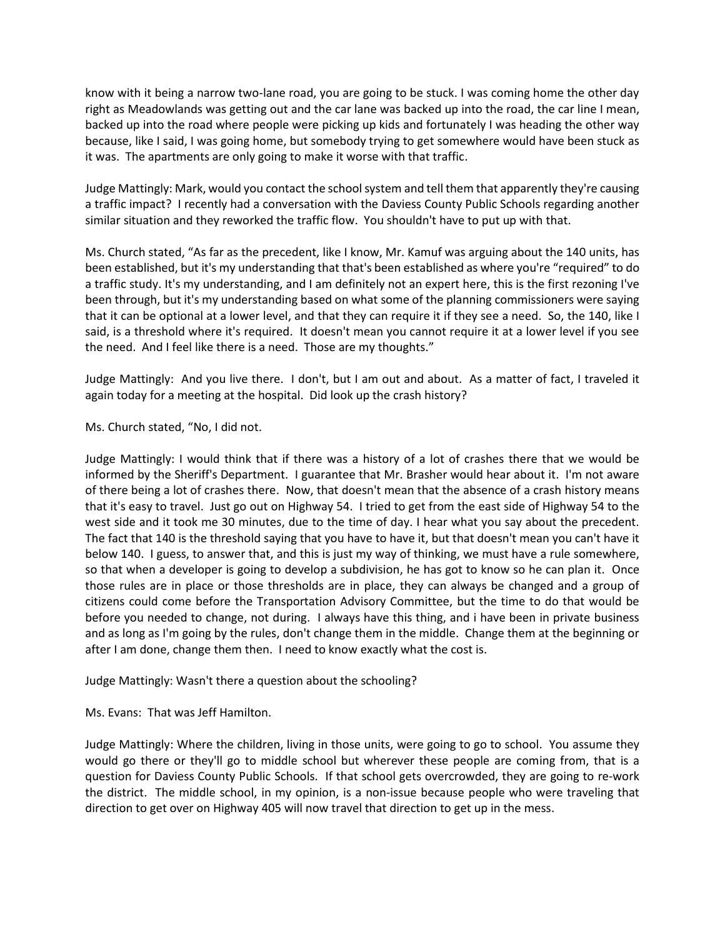know with it being a narrow two-lane road, you are going to be stuck. I was coming home the other day right as Meadowlands was getting out and the car lane was backed up into the road, the car line I mean, backed up into the road where people were picking up kids and fortunately I was heading the other way because, like I said, I was going home, but somebody trying to get somewhere would have been stuck as it was. The apartments are only going to make it worse with that traffic.

Judge Mattingly: Mark, would you contact the school system and tell them that apparently they're causing a traffic impact? I recently had a conversation with the Daviess County Public Schools regarding another similar situation and they reworked the traffic flow. You shouldn't have to put up with that.

Ms. Church stated, "As far as the precedent, like I know, Mr. Kamuf was arguing about the 140 units, has been established, but it's my understanding that that's been established as where you're "required" to do a traffic study. It's my understanding, and I am definitely not an expert here, this is the first rezoning I've been through, but it's my understanding based on what some of the planning commissioners were saying that it can be optional at a lower level, and that they can require it if they see a need. So, the 140, like I said, is a threshold where it's required. It doesn't mean you cannot require it at a lower level if you see the need. And I feel like there is a need. Those are my thoughts."

Judge Mattingly: And you live there. I don't, but I am out and about. As a matter of fact, I traveled it again today for a meeting at the hospital. Did look up the crash history?

Ms. Church stated, "No, I did not.

Judge Mattingly: I would think that if there was a history of a lot of crashes there that we would be informed by the Sheriff's Department. I guarantee that Mr. Brasher would hear about it. I'm not aware of there being a lot of crashes there. Now, that doesn't mean that the absence of a crash history means that it's easy to travel. Just go out on Highway 54. I tried to get from the east side of Highway 54 to the west side and it took me 30 minutes, due to the time of day. I hear what you say about the precedent. The fact that 140 is the threshold saying that you have to have it, but that doesn't mean you can't have it below 140. I guess, to answer that, and this is just my way of thinking, we must have a rule somewhere, so that when a developer is going to develop a subdivision, he has got to know so he can plan it. Once those rules are in place or those thresholds are in place, they can always be changed and a group of citizens could come before the Transportation Advisory Committee, but the time to do that would be before you needed to change, not during. I always have this thing, and i have been in private business and as long as I'm going by the rules, don't change them in the middle. Change them at the beginning or after I am done, change them then. I need to know exactly what the cost is.

Judge Mattingly: Wasn't there a question about the schooling?

Ms. Evans: That was Jeff Hamilton.

Judge Mattingly: Where the children, living in those units, were going to go to school. You assume they would go there or they'll go to middle school but wherever these people are coming from, that is a question for Daviess County Public Schools. If that school gets overcrowded, they are going to re-work the district. The middle school, in my opinion, is a non-issue because people who were traveling that direction to get over on Highway 405 will now travel that direction to get up in the mess.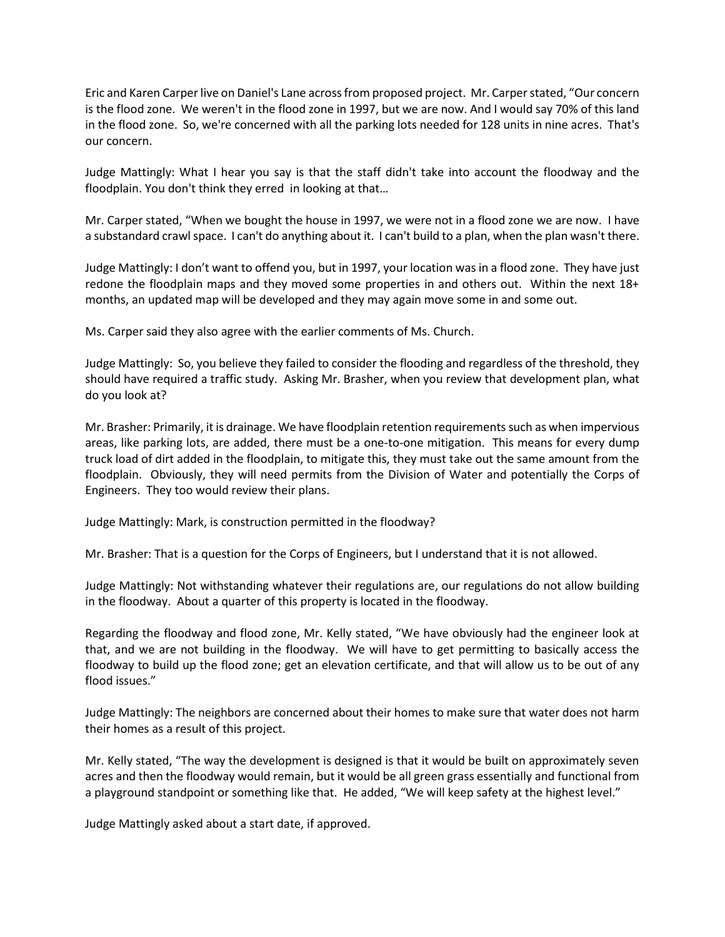Eric and Karen Carper live on Daniel's Lane across from proposed project. Mr. Carper stated, "Our concern is the flood zone. We weren't in the flood zone in 1997, but we are now. And I would say 70% of this land in the flood zone. So, we're concerned with all the parking lots needed for 128 units in nine acres. That's our concern.

Judge Mattingly: What I hear you say is that the staff didn't take into account the floodway and the floodplain. You don't think they erred in looking at that…

Mr. Carper stated, "When we bought the house in 1997, we were not in a flood zone we are now. I have a substandard crawl space. I can't do anything about it. I can't build to a plan, when the plan wasn't there.

Judge Mattingly: I don't want to offend you, but in 1997, your location was in a flood zone. They have just redone the floodplain maps and they moved some properties in and others out. Within the next 18+ months, an updated map will be developed and they may again move some in and some out.

Ms. Carper said they also agree with the earlier comments of Ms. Church.

Judge Mattingly: So, you believe they failed to consider the flooding and regardless of the threshold, they should have required a traffic study. Asking Mr. Brasher, when you review that development plan, what do you look at?

Mr. Brasher: Primarily, it is drainage. We have floodplain retention requirementssuch as when impervious areas, like parking lots, are added, there must be a one-to-one mitigation. This means for every dump truck load of dirt added in the floodplain, to mitigate this, they must take out the same amount from the floodplain. Obviously, they will need permits from the Division of Water and potentially the Corps of Engineers. They too would review their plans.

Judge Mattingly: Mark, is construction permitted in the floodway?

Mr. Brasher: That is a question for the Corps of Engineers, but I understand that it is not allowed.

Judge Mattingly: Not withstanding whatever their regulations are, our regulations do not allow building in the floodway. About a quarter of this property is located in the floodway.

Regarding the floodway and flood zone, Mr. Kelly stated, "We have obviously had the engineer look at that, and we are not building in the floodway. We will have to get permitting to basically access the floodway to build up the flood zone; get an elevation certificate, and that will allow us to be out of any flood issues."

Judge Mattingly: The neighbors are concerned about their homes to make sure that water does not harm their homes as a result of this project.

Mr. Kelly stated, "The way the development is designed is that it would be built on approximately seven acres and then the floodway would remain, but it would be all green grass essentially and functional from a playground standpoint or something like that. He added, "We will keep safety at the highest level."

Judge Mattingly asked about a start date, if approved.